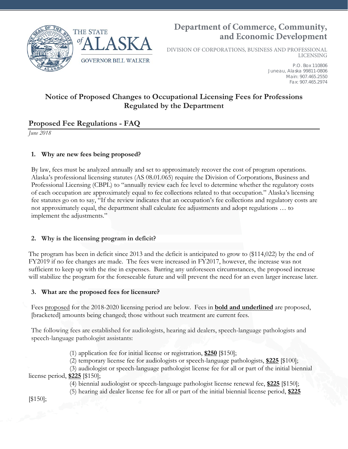

# **Department of Commerce, Community, and Economic Development**

DIVISION OF CORPORATIONS, BUSINESS AND PROFESSIONAL LICENSING

> P.O. Box 110806 Juneau, Alaska 99811-0806 Main: 907.465.2550 Fax: 907.465.2974

## **Notice of Proposed Changes to Occupational Licensing Fees for Professions Regulated by the Department**

## **Proposed Fee Regulations - FAQ**

*June 2018*

### **1. Why are new fees being proposed?**

By law, fees must be analyzed annually and set to approximately recover the cost of program operations. Alaska's professional licensing statutes (AS 08.01.065) require the Division of Corporations, Business and Professional Licensing (CBPL) to "annually review each fee level to determine whether the regulatory costs of each occupation are approximately equal to fee collections related to that occupation." Alaska's licensing fee statutes go on to say, "If the review indicates that an occupation's fee collections and regulatory costs are not approximately equal, the department shall calculate fee adjustments and adopt regulations … to implement the adjustments."

#### **2. Why is the licensing program in deficit?**

The program has been in deficit since 2013 and the deficit is anticipated to grow to (\$114,022) by the end of FY2019 if no fee changes are made. The fees were increased in FY2017, however, the increase was not sufficient to keep up with the rise in expenses. Barring any unforeseen circumstances, the proposed increase will stabilize the program for the foreseeable future and will prevent the need for an even larger increase later.

#### **3. What are the proposed fees for licensure?**

Fees proposed for the 2018-2020 licensing period are below. Fees in **bold and underlined** are proposed, [bracketed] amounts being changed; those without such treatment are current fees.

The following fees are established for audiologists, hearing aid dealers, speech-language pathologists and speech-language pathologist assistants:

(1) application fee for initial license or registration, **\$250** [\$150];

(2) temporary license fee for audiologists or speech-language pathologists, **\$225** [\$100];

(3) audiologist or speech-language pathologist license fee for all or part of the initial biennial license period, **\$225** [\$150];

(4) biennial audiologist or speech-language pathologist license renewal fee, **\$225** [\$150];

(5) hearing aid dealer license fee for all or part of the initial biennial license period, **\$225**

[\$150];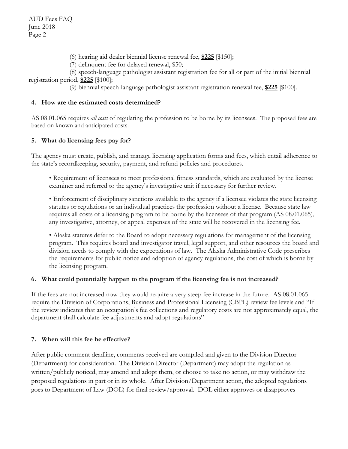(6) hearing aid dealer biennial license renewal fee, **\$225** [\$150];

(7) delinquent fee for delayed renewal, \$50;

(8) speech-language pathologist assistant registration fee for all or part of the initial biennial registration period, **\$225** [\$100];

(9) biennial speech-language pathologist assistant registration renewal fee, **\$225** [\$100].

### **4. How are the estimated costs determined?**

AS 08.01.065 requires *all costs* of regulating the profession to be borne by its licensees.The proposed fees are based on known and anticipated costs.

## **5. What do licensing fees pay for?**

The agency must create, publish, and manage licensing application forms and fees, which entail adherence to the state's recordkeeping, security, payment, and refund policies and procedures.

• Requirement of licensees to meet professional fitness standards, which are evaluated by the license examiner and referred to the agency's investigative unit if necessary for further review.

• Enforcement of disciplinary sanctions available to the agency if a licensee violates the state licensing statutes or regulations or an individual practices the profession without a license. Because state law requires all costs of a licensing program to be borne by the licensees of that program (AS 08.01.065), any investigative, attorney, or appeal expenses of the state will be recovered in the licensing fee.

• Alaska statutes defer to the Board to adopt necessary regulations for management of the licensing program. This requires board and investigator travel, legal support, and other resources the board and division needs to comply with the expectations of law. The Alaska Administrative Code prescribes the requirements for public notice and adoption of agency regulations, the cost of which is borne by the licensing program.

## **6. What could potentially happen to the program if the licensing fee is not increased?**

If the fees are not increased now they would require a very steep fee increase in the future. AS 08.01.065 require the Division of Corporations, Business and Professional Licensing (CBPL) review fee levels and "If the review indicates that an occupation's fee collections and regulatory costs are not approximately equal, the department shall calculate fee adjustments and adopt regulations"

#### **7. When will this fee be effective?**

After public comment deadline, comments received are compiled and given to the Division Director (Department) for consideration. The Division Director (Department) may adopt the regulation as written/publicly noticed, may amend and adopt them, or choose to take no action, or may withdraw the proposed regulations in part or in its whole. After Division/Department action, the adopted regulations goes to Department of Law (DOL) for final review/approval. DOL either approves or disapproves